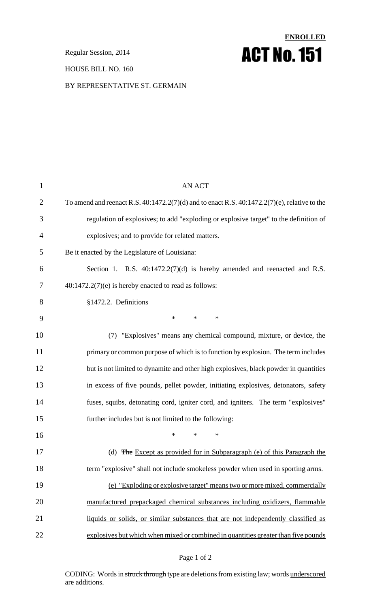#### HOUSE BILL NO. 160

# **ENROLLED Regular Session, 2014 ACT No. 151**

BY REPRESENTATIVE ST. GERMAIN

| $\mathbf{1}$   | <b>AN ACT</b>                                                                                     |
|----------------|---------------------------------------------------------------------------------------------------|
| $\overline{2}$ | To amend and reenact R.S. $40:1472.2(7)(d)$ and to enact R.S. $40:1472.2(7)(e)$ , relative to the |
| 3              | regulation of explosives; to add "exploding or explosive target" to the definition of             |
| 4              | explosives; and to provide for related matters.                                                   |
| 5              | Be it enacted by the Legislature of Louisiana:                                                    |
| 6              | Section 1. R.S. $40:1472.2(7)(d)$ is hereby amended and reenacted and R.S.                        |
| 7              | $40:1472.2(7)(e)$ is hereby enacted to read as follows:                                           |
| 8              | §1472.2. Definitions                                                                              |
| 9              | $\ast$<br>$\ast$<br>∗                                                                             |
| 10             | (7) "Explosives" means any chemical compound, mixture, or device, the                             |
| 11             | primary or common purpose of which is to function by explosion. The term includes                 |
| 12             | but is not limited to dynamite and other high explosives, black powder in quantities              |
| 13             | in excess of five pounds, pellet powder, initiating explosives, detonators, safety                |
| 14             | fuses, squibs, detonating cord, igniter cord, and igniters. The term "explosives"                 |
| 15             | further includes but is not limited to the following:                                             |
| 16             | *<br>*<br>∗                                                                                       |
| 17             | (d) The Except as provided for in Subparagraph (e) of this Paragraph the                          |
| 18             | term "explosive" shall not include smokeless powder when used in sporting arms.                   |
| 19             | (e) "Exploding or explosive target" means two or more mixed, commercially                         |
| 20             | manufactured prepackaged chemical substances including oxidizers, flammable                       |
| 21             | liquids or solids, or similar substances that are not independently classified as                 |
| 22             | explosives but which when mixed or combined in quantities greater than five pounds                |

#### Page 1 of 2

CODING: Words in struck through type are deletions from existing law; words underscored are additions.